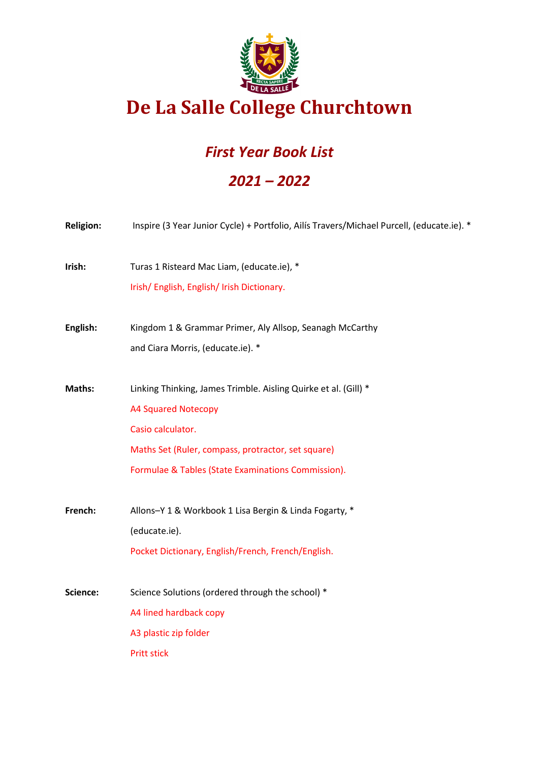

### *First Year Book List*

### *2021 – 2022*

| <b>Religion:</b> | Inspire (3 Year Junior Cycle) + Portfolio, Ailís Travers/Michael Purcell, (educate.ie). *                                                                                                                                      |
|------------------|--------------------------------------------------------------------------------------------------------------------------------------------------------------------------------------------------------------------------------|
| Irish:           | Turas 1 Risteard Mac Liam, (educate.ie), *<br>Irish/ English, English/ Irish Dictionary.                                                                                                                                       |
| English:         | Kingdom 1 & Grammar Primer, Aly Allsop, Seanagh McCarthy<br>and Ciara Morris, (educate.ie). *                                                                                                                                  |
| Maths:           | Linking Thinking, James Trimble. Aisling Quirke et al. (Gill) *<br><b>A4 Squared Notecopy</b><br>Casio calculator.<br>Maths Set (Ruler, compass, protractor, set square)<br>Formulae & Tables (State Examinations Commission). |
| French:          | Allons-Y 1 & Workbook 1 Lisa Bergin & Linda Fogarty, *<br>(educate.ie).<br>Pocket Dictionary, English/French, French/English.                                                                                                  |
| Science:         | Science Solutions (ordered through the school) *<br>A4 lined hardback copy<br>A3 plastic zip folder<br><b>Pritt stick</b>                                                                                                      |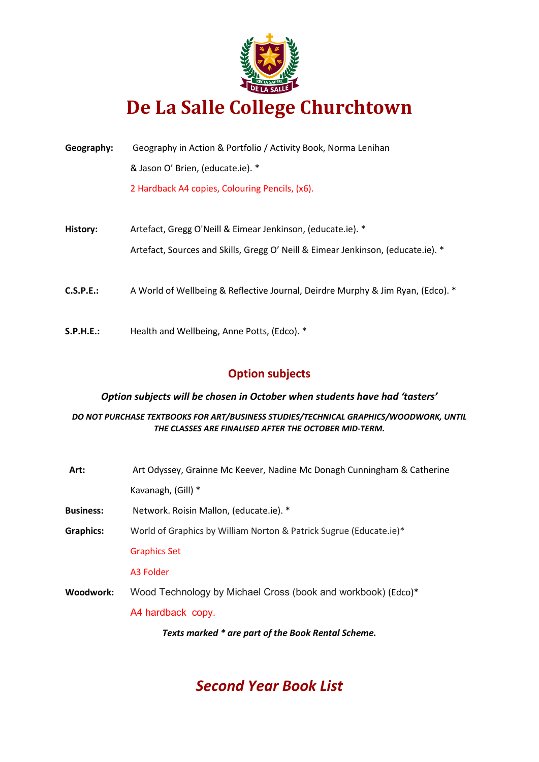

| Geography: | Geography in Action & Portfolio / Activity Book, Norma Lenihan                   |
|------------|----------------------------------------------------------------------------------|
|            | & Jason O' Brien, (educate.ie). *                                                |
|            | 2 Hardback A4 copies, Colouring Pencils, (x6).                                   |
|            |                                                                                  |
| History:   | Artefact, Gregg O'Neill & Eimear Jenkinson, (educate.ie). *                      |
|            | Artefact, Sources and Skills, Gregg O' Neill & Eimear Jenkinson, (educate.ie). * |
|            |                                                                                  |
| C.S.P.E.:  | A World of Wellbeing & Reflective Journal, Deirdre Murphy & Jim Ryan, (Edco). *  |
|            |                                                                                  |
| S.P.H.E.:  | Health and Wellbeing, Anne Potts, (Edco). *                                      |

### **Option subjects**

#### *Option subjects will be chosen in October when students have had 'tasters'*

#### *DO NOT PURCHASE TEXTBOOKS FOR ART/BUSINESS STUDIES/TECHNICAL GRAPHICS/WOODWORK, UNTIL THE CLASSES ARE FINALISED AFTER THE OCTOBER MID-TERM.*

| Art:             | Art Odyssey, Grainne Mc Keever, Nadine Mc Donagh Cunningham & Catherine |
|------------------|-------------------------------------------------------------------------|
|                  | Kavanagh, (Gill) *                                                      |
| <b>Business:</b> | Network. Roisin Mallon, (educate.ie). *                                 |
| <b>Graphics:</b> | World of Graphics by William Norton & Patrick Sugrue (Educate.ie)*      |
|                  | <b>Graphics Set</b>                                                     |
|                  | A3 Folder                                                               |
| Woodwork:        | Wood Technology by Michael Cross (book and workbook) (Edco)*            |
|                  | A4 hardback copy.                                                       |
|                  | Texts marked * are part of the Book Rental Scheme.                      |
|                  |                                                                         |

### *Second Year Book List*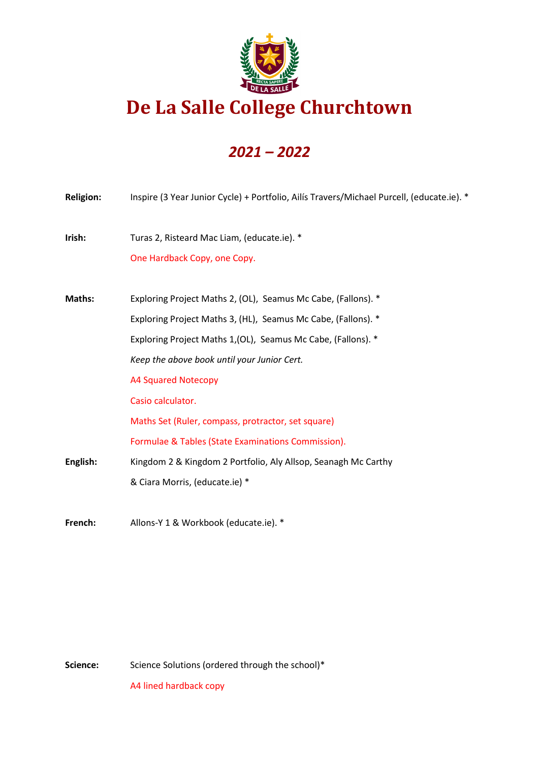

### *2021 – 2022*

| <b>Religion:</b> | Inspire (3 Year Junior Cycle) + Portfolio, Ailís Travers/Michael Purcell, (educate.ie). * |
|------------------|-------------------------------------------------------------------------------------------|
| Irish:           | Turas 2, Risteard Mac Liam, (educate.ie). *                                               |
|                  | One Hardback Copy, one Copy.                                                              |
|                  |                                                                                           |
| Maths:           | Exploring Project Maths 2, (OL), Seamus Mc Cabe, (Fallons). *                             |
|                  | Exploring Project Maths 3, (HL), Seamus Mc Cabe, (Fallons). *                             |
|                  | Exploring Project Maths 1, (OL), Seamus Mc Cabe, (Fallons). *                             |
|                  | Keep the above book until your Junior Cert.                                               |
|                  | <b>A4 Squared Notecopy</b>                                                                |
|                  | Casio calculator.                                                                         |
|                  | Maths Set (Ruler, compass, protractor, set square)                                        |
|                  | Formulae & Tables (State Examinations Commission).                                        |
| English:         | Kingdom 2 & Kingdom 2 Portfolio, Aly Allsop, Seanagh Mc Carthy                            |
|                  | & Ciara Morris, (educate.ie) *                                                            |
|                  |                                                                                           |

**French:** Allons-Y 1 & Workbook (educate.ie). \*

Science: Science Solutions (ordered through the school)\*

A4 lined hardback copy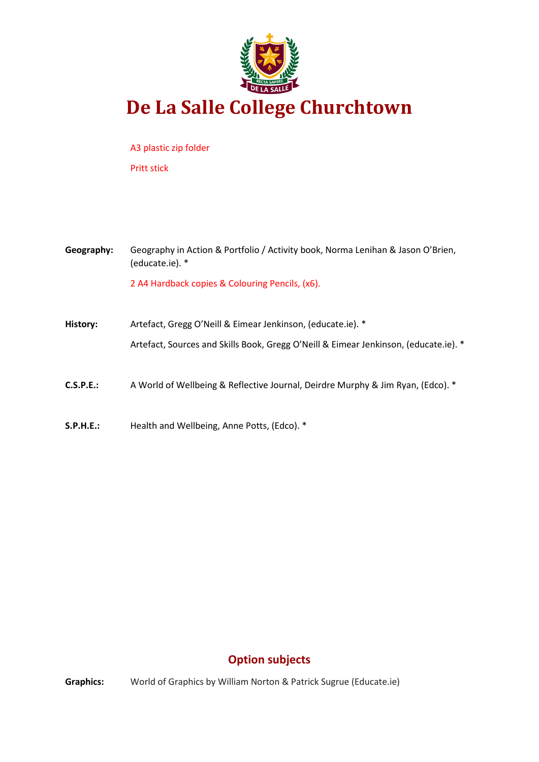

A3 plastic zip folder Pritt stick

**Geography:** Geography in Action & Portfolio / Activity book, Norma Lenihan & Jason O'Brien, (educate.ie). \* 2 A4 Hardback copies & Colouring Pencils, (x6).

- **History:** Artefact, Gregg O'Neill & Eimear Jenkinson, (educate.ie). \* Artefact, Sources and Skills Book, Gregg O'Neill & Eimear Jenkinson, (educate.ie). \*
- **C.S.P.E.:** A World of Wellbeing & Reflective Journal, Deirdre Murphy & Jim Ryan, (Edco). \*
- **S.P.H.E.:** Health and Wellbeing, Anne Potts, (Edco). \*

### **Option subjects**

**Graphics:** World of Graphics by William Norton & Patrick Sugrue (Educate.ie)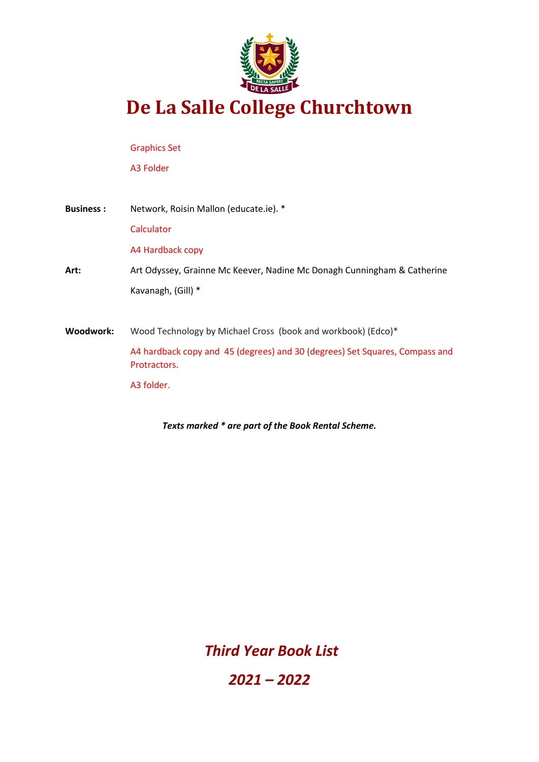

Graphics Set

A3 Folder

**Business :** Network, Roisin Mallon (educate.ie). \* **Calculator** A4 Hardback copy **Art:** Art Odyssey, Grainne Mc Keever, Nadine Mc Donagh Cunningham & Catherine Kavanagh, (Gill) \* **Woodwork:** Wood Technology by Michael Cross (book and workbook) (Edco)\* A4 hardback copy and 45 (degrees) and 30 (degrees) Set Squares, Compass and Protractors.

A3 folder.

*Texts marked \* are part of the Book Rental Scheme.*

*Third Year Book List* 

*2021 – 2022*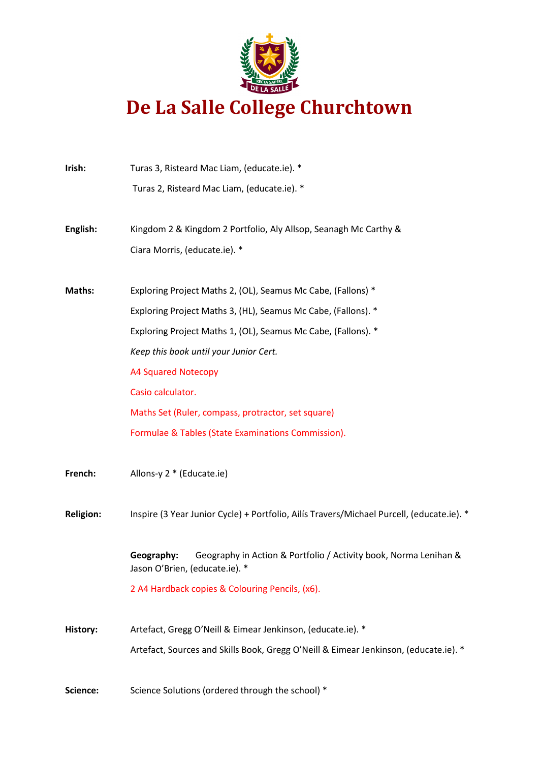

| Irish:           | Turas 3, Risteard Mac Liam, (educate.ie). *                                                                      |
|------------------|------------------------------------------------------------------------------------------------------------------|
|                  | Turas 2, Risteard Mac Liam, (educate.ie). *                                                                      |
| English:         | Kingdom 2 & Kingdom 2 Portfolio, Aly Allsop, Seanagh Mc Carthy &                                                 |
|                  | Ciara Morris, (educate.ie). *                                                                                    |
| Maths:           | Exploring Project Maths 2, (OL), Seamus Mc Cabe, (Fallons) *                                                     |
|                  | Exploring Project Maths 3, (HL), Seamus Mc Cabe, (Fallons). *                                                    |
|                  | Exploring Project Maths 1, (OL), Seamus Mc Cabe, (Fallons). *                                                    |
|                  | Keep this book until your Junior Cert.                                                                           |
|                  | <b>A4 Squared Notecopy</b>                                                                                       |
|                  | Casio calculator.                                                                                                |
|                  | Maths Set (Ruler, compass, protractor, set square)                                                               |
|                  | Formulae & Tables (State Examinations Commission).                                                               |
| French:          | Allons-y 2 * (Educate.ie)                                                                                        |
| <b>Religion:</b> | Inspire (3 Year Junior Cycle) + Portfolio, Ailís Travers/Michael Purcell, (educate.ie). *                        |
|                  | Geography:<br>Geography in Action & Portfolio / Activity book, Norma Lenihan &<br>Jason O'Brien, (educate.ie). * |
|                  | 2 A4 Hardback copies & Colouring Pencils, (x6).                                                                  |
| History:         | Artefact, Gregg O'Neill & Eimear Jenkinson, (educate.ie). *                                                      |
|                  | Artefact, Sources and Skills Book, Gregg O'Neill & Eimear Jenkinson, (educate.ie). *                             |
|                  |                                                                                                                  |

Science: Science Solutions (ordered through the school) \*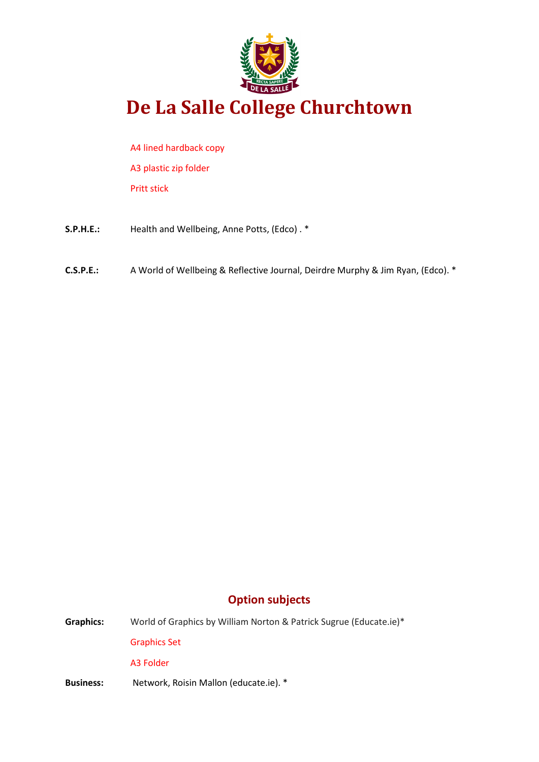

A4 lined hardback copy A3 plastic zip folder Pritt stick

- **S.P.H.E.:** Health and Wellbeing, Anne Potts, (Edco) . \*
- **C.S.P.E.:** A World of Wellbeing & Reflective Journal, Deirdre Murphy & Jim Ryan, (Edco). \*

### **Option subjects**

**Graphics:** World of Graphics by William Norton & Patrick Sugrue (Educate.ie)\* Graphics Set

A3 Folder

**Business:** Network, Roisin Mallon (educate.ie). \*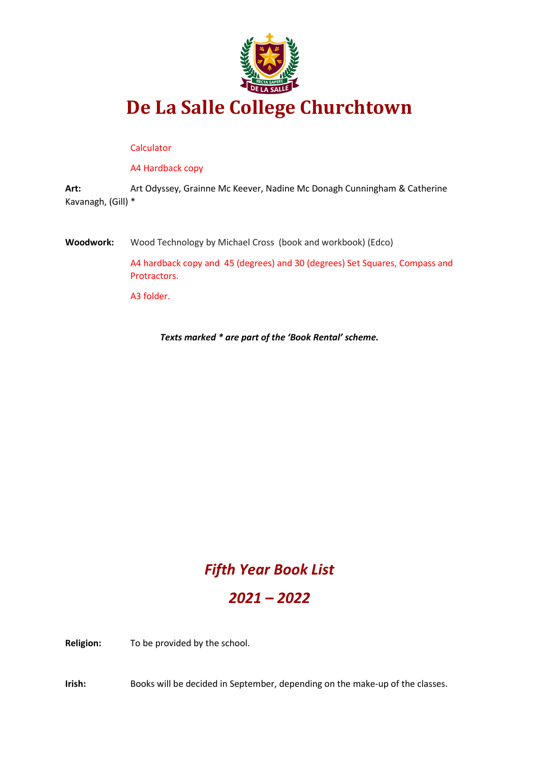

#### **Calculator**

A4 Hardback copy

**Art:** Art Odyssey, Grainne Mc Keever, Nadine Mc Donagh Cunningham & Catherine Kavanagh, (Gill) \*

**Woodwork:** Wood Technology by Michael Cross (book and workbook) (Edco)

A4 hardback copy and 45 (degrees) and 30 (degrees) Set Squares, Compass and Protractors.

A3 folder.

*Texts marked \* are part of the 'Book Rental' scheme.*

### *Fifth Year Book List*

### *2021 – 2022*

**Religion:** To be provided by the school.

**Irish:** Books will be decided in September, depending on the make-up of the classes.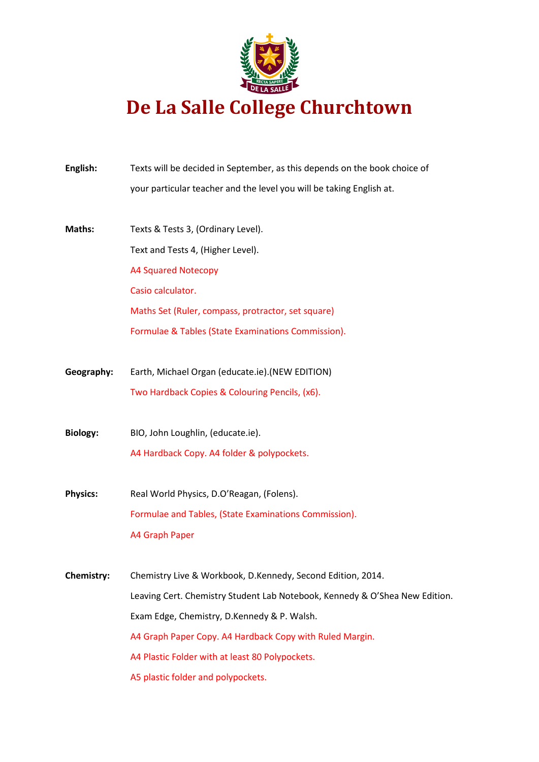

| English:          | Texts will be decided in September, as this depends on the book choice of   |
|-------------------|-----------------------------------------------------------------------------|
|                   | your particular teacher and the level you will be taking English at.        |
| Maths:            | Texts & Tests 3, (Ordinary Level).                                          |
|                   | Text and Tests 4, (Higher Level).                                           |
|                   | <b>A4 Squared Notecopy</b>                                                  |
|                   | Casio calculator.                                                           |
|                   | Maths Set (Ruler, compass, protractor, set square)                          |
|                   | Formulae & Tables (State Examinations Commission).                          |
| Geography:        | Earth, Michael Organ (educate.ie).(NEW EDITION)                             |
|                   | Two Hardback Copies & Colouring Pencils, (x6).                              |
| <b>Biology:</b>   | BIO, John Loughlin, (educate.ie).                                           |
|                   | A4 Hardback Copy. A4 folder & polypockets.                                  |
| <b>Physics:</b>   | Real World Physics, D.O'Reagan, (Folens).                                   |
|                   | Formulae and Tables, (State Examinations Commission).                       |
|                   | <b>A4 Graph Paper</b>                                                       |
| <b>Chemistry:</b> | Chemistry Live & Workbook, D.Kennedy, Second Edition, 2014.                 |
|                   | Leaving Cert. Chemistry Student Lab Notebook, Kennedy & O'Shea New Edition. |
|                   | Exam Edge, Chemistry, D.Kennedy & P. Walsh.                                 |
|                   | A4 Graph Paper Copy. A4 Hardback Copy with Ruled Margin.                    |
|                   | A4 Plastic Folder with at least 80 Polypockets.                             |
|                   | A5 plastic folder and polypockets.                                          |
|                   |                                                                             |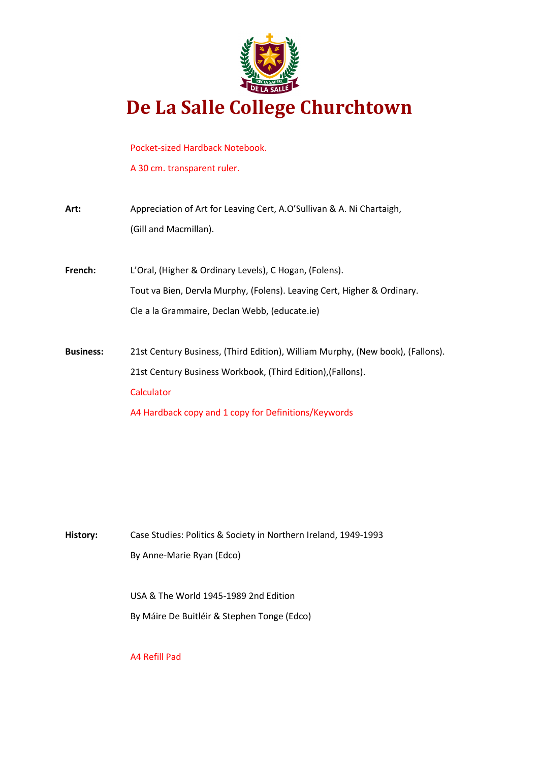

Pocket-sized Hardback Notebook.

A 30 cm. transparent ruler.

| Art:             | Appreciation of Art for Leaving Cert, A.O'Sullivan & A. Ni Chartaigh,<br>(Gill and Macmillan). |
|------------------|------------------------------------------------------------------------------------------------|
| French:          | L'Oral, (Higher & Ordinary Levels), C Hogan, (Folens).                                         |
|                  | Tout va Bien, Dervla Murphy, (Folens). Leaving Cert, Higher & Ordinary.                        |
|                  | Cle a la Grammaire, Declan Webb, (educate.ie)                                                  |
|                  |                                                                                                |
| <b>Business:</b> | 21st Century Business, (Third Edition), William Murphy, (New book), (Fallons).                 |
|                  | 21st Century Business Workbook, (Third Edition), (Fallons).                                    |
|                  | Calculator                                                                                     |
|                  | A4 Hardback copy and 1 copy for Definitions/Keywords                                           |

**History:** Case Studies: Politics & Society in Northern Ireland, 1949-1993 By Anne-Marie Ryan (Edco)

> USA & The World 1945-1989 2nd Edition By Máire De Buitléir & Stephen Tonge (Edco)

A4 Refill Pad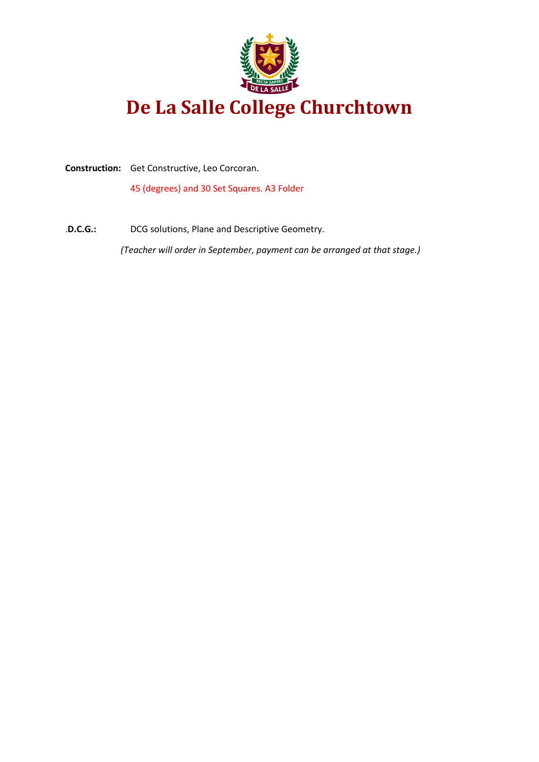

**Construction:** Get Constructive, Leo Corcoran.

45 (degrees) and 30 Set Squares. A3 Folder

.**D.C.G.:** DCG solutions, Plane and Descriptive Geometry. *(Teacher will order in September, payment can be arranged at that stage.)*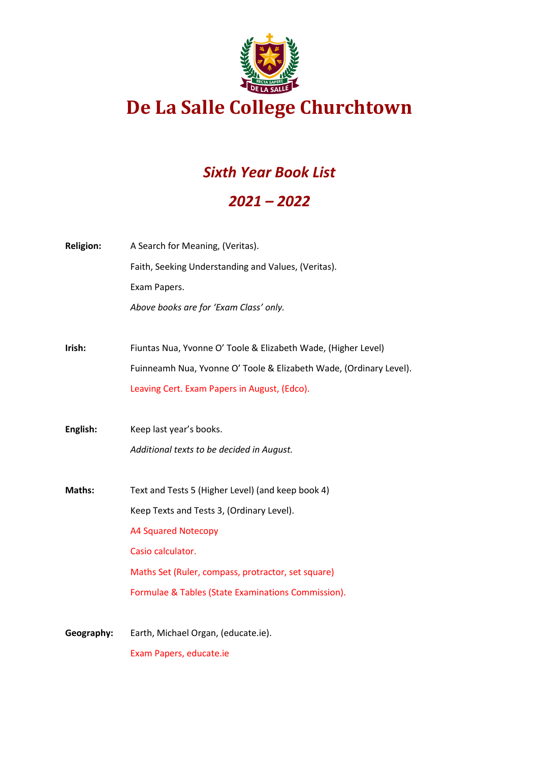

### *Sixth Year Book List*

### *2021 – 2022*

| <b>Religion:</b> | A Search for Meaning, (Veritas).                                   |
|------------------|--------------------------------------------------------------------|
|                  | Faith, Seeking Understanding and Values, (Veritas).                |
|                  | Exam Papers.                                                       |
|                  | Above books are for 'Exam Class' only.                             |
|                  |                                                                    |
| Irish:           | Fiuntas Nua, Yvonne O' Toole & Elizabeth Wade, (Higher Level)      |
|                  | Fuinneamh Nua, Yvonne O' Toole & Elizabeth Wade, (Ordinary Level). |
|                  | Leaving Cert. Exam Papers in August, (Edco).                       |
|                  |                                                                    |
| English:         | Keep last year's books.                                            |
|                  | Additional texts to be decided in August.                          |
|                  |                                                                    |
| Maths:           | Text and Tests 5 (Higher Level) (and keep book 4)                  |
|                  | Keep Texts and Tests 3, (Ordinary Level).                          |
|                  | <b>A4 Squared Notecopy</b>                                         |
|                  | Casio calculator.                                                  |
|                  | Maths Set (Ruler, compass, protractor, set square)                 |
|                  | Formulae & Tables (State Examinations Commission).                 |
|                  |                                                                    |
| Geography:       | Earth, Michael Organ, (educate.ie).                                |
|                  |                                                                    |

Exam Papers, educate.ie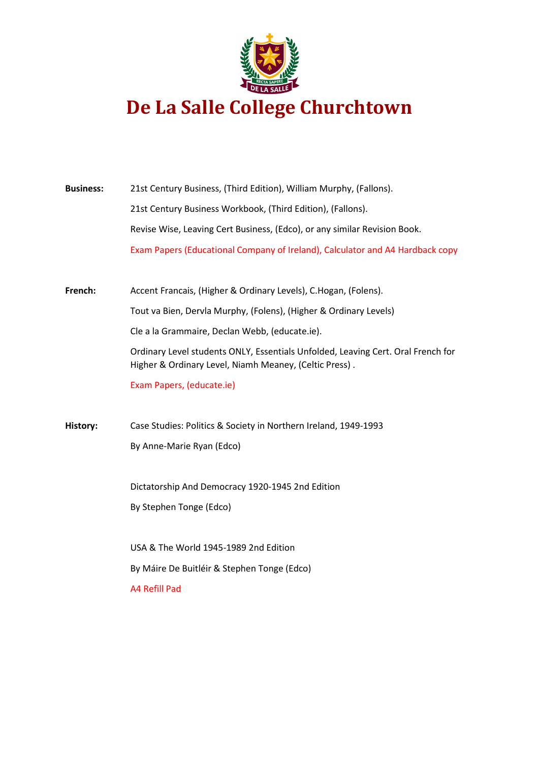

| <b>Business:</b> | 21st Century Business, (Third Edition), William Murphy, (Fallons).                                                                         |
|------------------|--------------------------------------------------------------------------------------------------------------------------------------------|
|                  | 21st Century Business Workbook, (Third Edition), (Fallons).                                                                                |
|                  | Revise Wise, Leaving Cert Business, (Edco), or any similar Revision Book.                                                                  |
|                  | Exam Papers (Educational Company of Ireland), Calculator and A4 Hardback copy                                                              |
| French:          | Accent Francais, (Higher & Ordinary Levels), C.Hogan, (Folens).                                                                            |
|                  | Tout va Bien, Dervla Murphy, (Folens), (Higher & Ordinary Levels)                                                                          |
|                  | Cle a la Grammaire, Declan Webb, (educate.ie).                                                                                             |
|                  | Ordinary Level students ONLY, Essentials Unfolded, Leaving Cert. Oral French for<br>Higher & Ordinary Level, Niamh Meaney, (Celtic Press). |
|                  | Exam Papers, (educate.ie)                                                                                                                  |
| History:         | Case Studies: Politics & Society in Northern Ireland, 1949-1993                                                                            |
|                  | By Anne-Marie Ryan (Edco)                                                                                                                  |
|                  | Dictatorship And Democracy 1920-1945 2nd Edition                                                                                           |
|                  | By Stephen Tonge (Edco)                                                                                                                    |
|                  | USA & The World 1945-1989 2nd Edition                                                                                                      |
|                  | By Máire De Buitléir & Stephen Tonge (Edco)                                                                                                |
|                  | A4 Refill Pad                                                                                                                              |